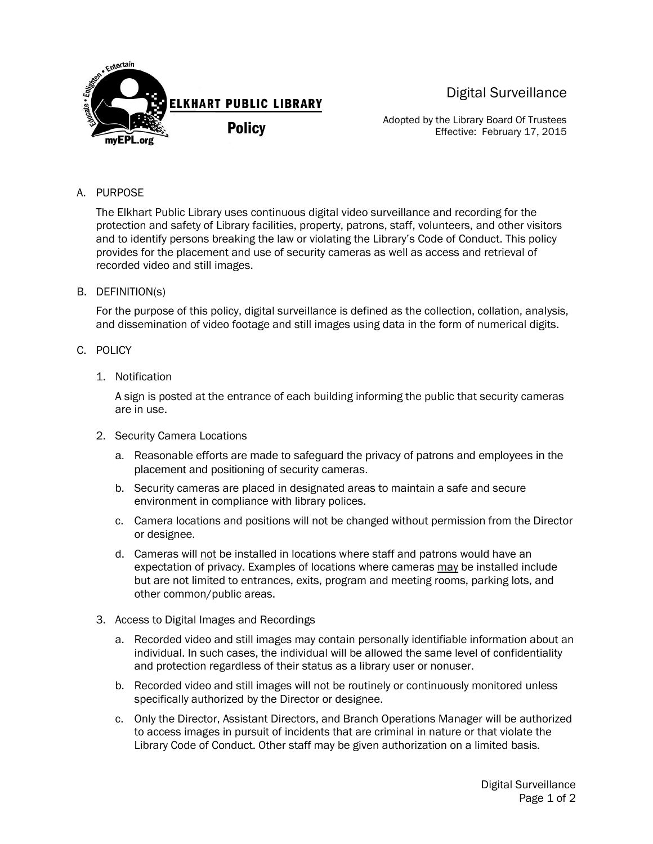

Digital Surveillance

Adopted by the Library Board Of Trustees Effective: February 17, 2015

## A. PURPOSE

The Elkhart Public Library uses continuous digital video surveillance and recording for the protection and safety of Library facilities, property, patrons, staff, volunteers, and other visitors and to identify persons breaking the law or violating the Library's Code of Conduct. This policy provides for the placement and use of security cameras as well as access and retrieval of recorded video and still images.

## B. DEFINITION(s)

For the purpose of this policy, digital surveillance is defined as the collection, collation, analysis, and dissemination of video footage and still images using data in the form of numerical digits.

## C. POLICY

1. Notification

A sign is posted at the entrance of each building informing the public that security cameras are in use.

- 2. Security Camera Locations
	- a. Reasonable efforts are made to safeguard the privacy of patrons and employees in the placement and positioning of security cameras.
	- b. Security cameras are placed in designated areas to maintain a safe and secure environment in compliance with library polices.
	- c. Camera locations and positions will not be changed without permission from the Director or designee.
	- d. Cameras will not be installed in locations where staff and patrons would have an expectation of privacy. Examples of locations where cameras may be installed include but are not limited to entrances, exits, program and meeting rooms, parking lots, and other common/public areas.
- 3. Access to Digital Images and Recordings
	- a. Recorded video and still images may contain personally identifiable information about an individual. In such cases, the individual will be allowed the same level of confidentiality and protection regardless of their status as a library user or nonuser.
	- b. Recorded video and still images will not be routinely or continuously monitored unless specifically authorized by the Director or designee.
	- c. Only the Director, Assistant Directors, and Branch Operations Manager will be authorized to access images in pursuit of incidents that are criminal in nature or that violate the Library Code of Conduct. Other staff may be given authorization on a limited basis.